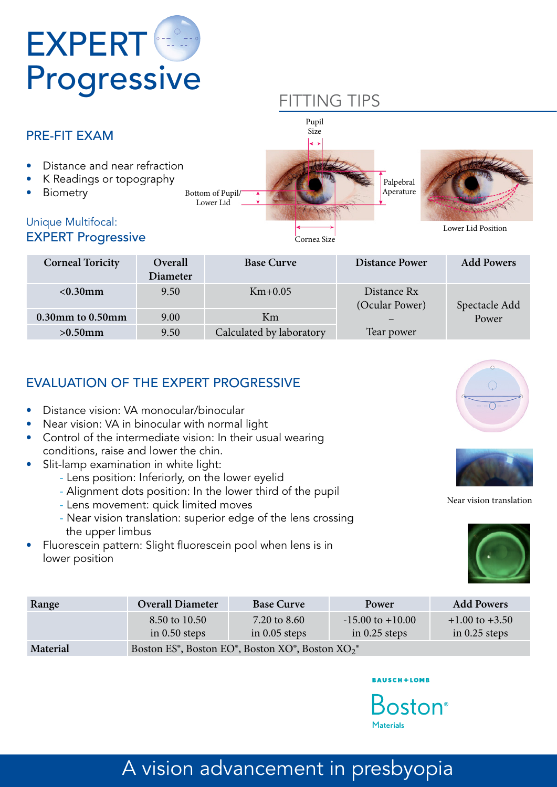

## FITTING TIPS



| <b>Corneal Toricity</b> | Overall<br><b>Diameter</b> | <b>Base Curve</b>        | <b>Distance Power</b>         | <b>Add Powers</b> |
|-------------------------|----------------------------|--------------------------|-------------------------------|-------------------|
| $< 0.30$ mm             | 9.50                       | $Km+0.05$                | Distance Rx<br>(Ocular Power) | Spectacle Add     |
| 0.30mm to 0.50mm        | 9.00                       | Km                       |                               | Power             |
| $>0.50$ mm              | 9.50                       | Calculated by laboratory | Tear power                    |                   |

### EVALUATION OF THE EXPERT PROGRESSIVE

- Distance vision: VA monocular/binocular
- Near vision: VA in binocular with normal light
- Control of the intermediate vision: In their usual wearing conditions, raise and lower the chin.
- Slit-lamp examination in white light:
	- Lens position: Inferiorly, on the lower eyelid
	- Alignment dots position: In the lower third of the pupil
	- Lens movement: quick limited moves
	- Near vision translation: superior edge of the lens crossing the upper limbus
- Fluorescein pattern: Slight fluorescein pool when lens is in lower position





#### Near vision translation



| Range    | <b>Overall Diameter</b>                                                             | <b>Base Curve</b> | Power                | <b>Add Powers</b>  |
|----------|-------------------------------------------------------------------------------------|-------------------|----------------------|--------------------|
|          | 8.50 to 10.50                                                                       | 7.20 to 8.60      | $-15.00$ to $+10.00$ | $+1.00$ to $+3.50$ |
|          | in $0.50$ steps                                                                     | in $0.05$ steps   | in $0.25$ steps      | in $0.25$ steps    |
| Material | Boston $FS^{\circ}$ Boston $FO^{\circ}$ Boston $XO^{\circ}$ Boston $XO_{2}^{\circ}$ |                   |                      |                    |

**Material** Boston ES<sup>®</sup>, Boston EO<sup>®</sup>, Boston XO<sup>®</sup>, Boston XO<sub>2</sub><sup>®</sup>

#### **BAUSCH+LOMB**

**Boston**<sup>®</sup> Materials

#### ision advancement in presbyc A vision advancement in presbyopia